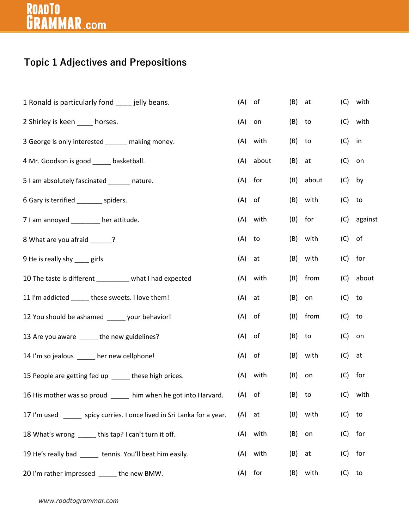# ROADTO<br>**GRAMMAR**.com

#### **Topic 1 Adjectives and Prepositions**

| 1 Ronald is particularly fond ____ jelly beans.                         | (A)      | of        | (B) | at        | (C)       | with        |
|-------------------------------------------------------------------------|----------|-----------|-----|-----------|-----------|-------------|
| 2 Shirley is keen ____ horses.                                          | (A)      | on        | (B) | to        |           | (C) with    |
| 3 George is only interested ______ making money.                        | (A)      | with      | (B) | to        | $(C)$ in  |             |
| 4 Mr. Goodson is good ______ basketball.                                | (A)      | about     | (B) | at        | $(C)$ on  |             |
| 5 I am absolutely fascinated ______ nature.                             |          | $(A)$ for |     | (B) about | $(C)$ by  |             |
| 6 Gary is terrified ________ spiders.                                   | (A)      | of        | (B) | with      | $(C)$ to  |             |
| 7 I am annoyed ________ her attitude.                                   |          | (A) with  | (B) | for       |           | (C) against |
| 8 What are you afraid _____?                                            | (A) to   |           | (B) | with      | $(C)$ of  |             |
| 9 He is really shy ____ girls.                                          | $(A)$ at |           |     | (B) with  | $(C)$ for |             |
| 10 The taste is different _________ what I had expected                 |          | (A) with  | (B) | from      |           | (C) about   |
| 11 I'm addicted _____ these sweets. I love them!                        | $(A)$ at |           | (B) | on        | $(C)$ to  |             |
| 12 You should be ashamed _____ your behavior!                           | $(A)$ of |           |     | (B) from  | $(C)$ to  |             |
| 13 Are you aware _____ the new guidelines?                              | (A)      | of        | (B) | to        | $(C)$ on  |             |
| 14 I'm so jealous ____ her new cellphone!                               | $(A)$ of |           |     | (B) with  | $(C)$ at  |             |
| 15 People are getting fed up _____ these high prices.                   |          | (A) with  | (B) | on        | $(C)$ for |             |
| 16 His mother was so proud _____ him when he got into Harvard. (A) of   |          |           |     | (B) to    |           | (C) with    |
| 17 I'm used ______ spicy curries. I once lived in Sri Lanka for a year. | (A)      | at        | (B) | with      | (C)       | to          |
| 18 What's wrong _____ this tap? I can't turn it off.                    | (A)      | with      | (B) | on        | $(C)$ for |             |
| 19 He's really bad _____ tennis. You'll beat him easily.                | (A)      | with      | (B) | at        | $(C)$ for |             |
| 20 I'm rather impressed _____ the new BMW.                              | (A)      | for       | (B) | with      | $(C)$ to  |             |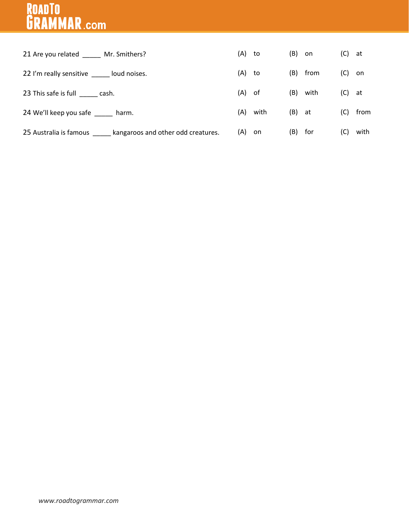### ROADTO<br>**GRAMMAR**.com

| 21 Are you related Mr. Smithers?                          | (A)      | to   | $(B)$ on |          | (C)      | at   |
|-----------------------------------------------------------|----------|------|----------|----------|----------|------|
| 22 I'm really sensitive _____ loud noises.                | (A)      | to   |          | (B) from | $(C)$ on |      |
| 23 This safe is full _______ cash.                        | $(A)$ of |      |          | (B) with | $(C)$ at |      |
| 24 We'll keep you safe harm.                              | (A)      | with | $(B)$ at |          | (C)      | from |
| 25 Australia is famous kangaroos and other odd creatures. | (A) on   |      | (B) for  |          | (C)      | with |